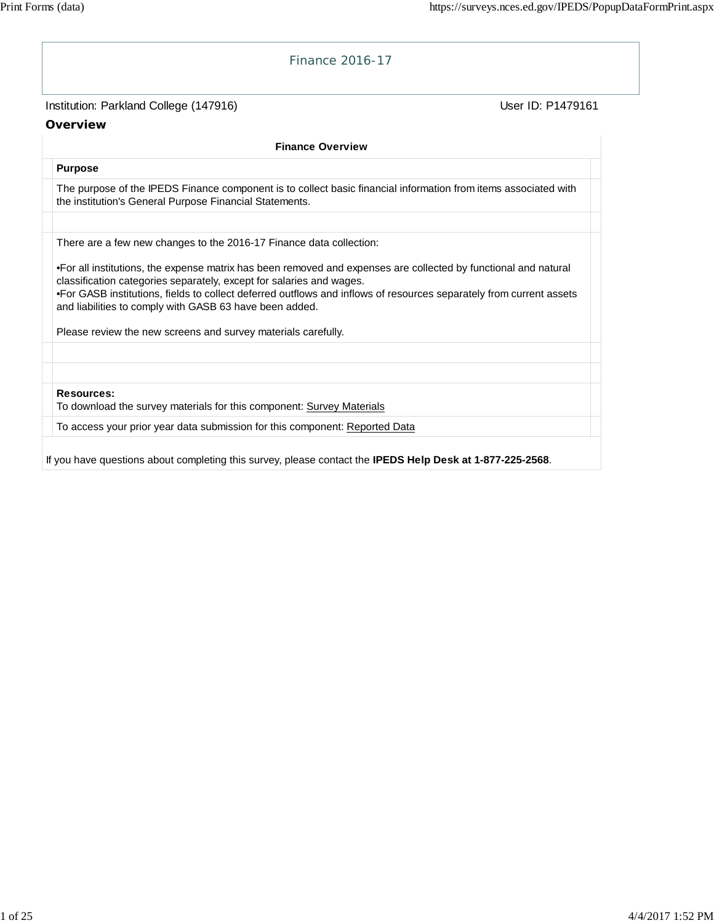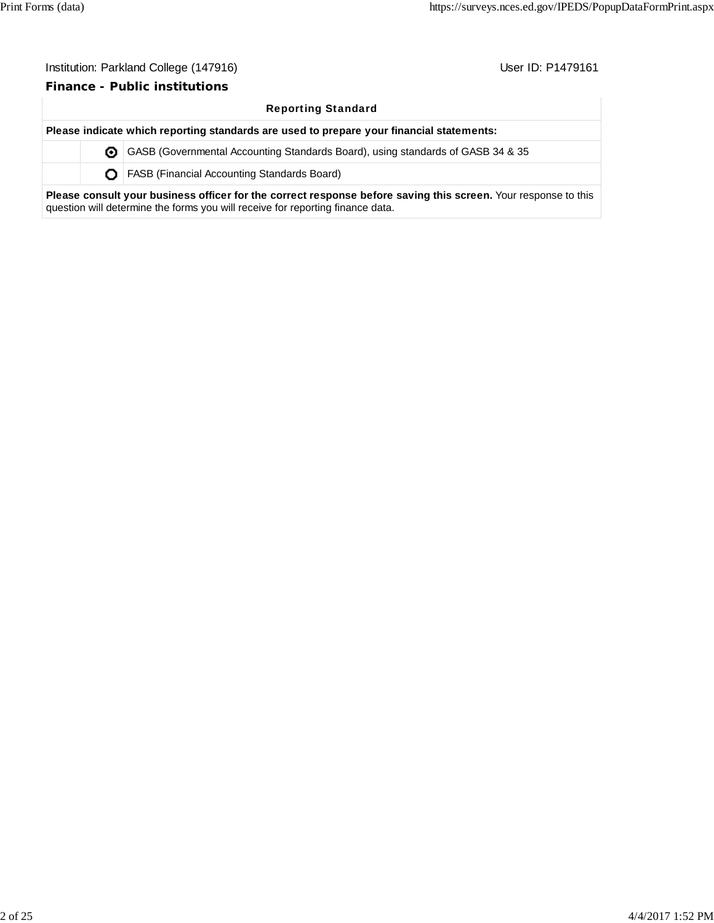#### **Finance - Public institutions**

#### Reporting Standard

**Please indicate which reporting standards are used to prepare your financial statements:** GASB (Governmental Accounting Standards Board), using standards of GASB 34 & 35 **O** | FASB (Financial Accounting Standards Board)

**Please consult your business officer for the correct response before saving this screen.** Your response to this question will determine the forms you will receive for reporting finance data.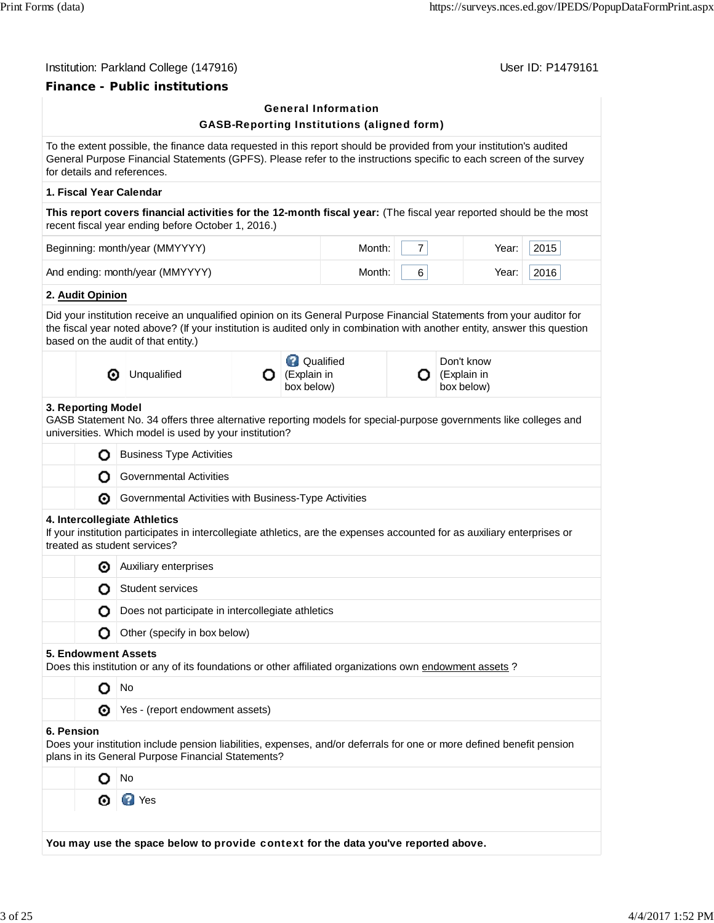## **Finance - Public institutions**

|            |                            | гшансе - гарнс шэшчионз                                                                                                                                                                                                                                                                    |   |                                                 |                                                   |                |                                         |      |  |
|------------|----------------------------|--------------------------------------------------------------------------------------------------------------------------------------------------------------------------------------------------------------------------------------------------------------------------------------------|---|-------------------------------------------------|---------------------------------------------------|----------------|-----------------------------------------|------|--|
|            |                            |                                                                                                                                                                                                                                                                                            |   |                                                 | <b>General Information</b>                        |                |                                         |      |  |
|            |                            |                                                                                                                                                                                                                                                                                            |   |                                                 | <b>GASB-Reporting Institutions (aligned form)</b> |                |                                         |      |  |
|            |                            | To the extent possible, the finance data requested in this report should be provided from your institution's audited<br>General Purpose Financial Statements (GPFS). Please refer to the instructions specific to each screen of the survey<br>for details and references.                 |   |                                                 |                                                   |                |                                         |      |  |
|            |                            | 1. Fiscal Year Calendar                                                                                                                                                                                                                                                                    |   |                                                 |                                                   |                |                                         |      |  |
|            |                            | This report covers financial activities for the 12-month fiscal year: (The fiscal year reported should be the most<br>recent fiscal year ending before October 1, 2016.)                                                                                                                   |   |                                                 |                                                   |                |                                         |      |  |
|            |                            | Beginning: month/year (MMYYYY)                                                                                                                                                                                                                                                             |   |                                                 | Month:                                            | $\overline{7}$ | Year:                                   | 2015 |  |
|            |                            | And ending: month/year (MMYYYY)                                                                                                                                                                                                                                                            |   |                                                 | Month:                                            | 6              | Year:                                   | 2016 |  |
|            | 2. Audit Opinion           |                                                                                                                                                                                                                                                                                            |   |                                                 |                                                   |                |                                         |      |  |
|            |                            | Did your institution receive an unqualified opinion on its General Purpose Financial Statements from your auditor for<br>the fiscal year noted above? (If your institution is audited only in combination with another entity, answer this question<br>based on the audit of that entity.) |   |                                                 |                                                   |                |                                         |      |  |
|            | ⊙                          | Unqualified                                                                                                                                                                                                                                                                                | О | <b>Q</b> Qualified<br>(Explain in<br>box below) |                                                   | Ω              | Don't know<br>(Explain in<br>box below) |      |  |
|            | 3. Reporting Model         | GASB Statement No. 34 offers three alternative reporting models for special-purpose governments like colleges and<br>universities. Which model is used by your institution?                                                                                                                |   |                                                 |                                                   |                |                                         |      |  |
|            | o                          | <b>Business Type Activities</b>                                                                                                                                                                                                                                                            |   |                                                 |                                                   |                |                                         |      |  |
|            | О                          | Governmental Activities                                                                                                                                                                                                                                                                    |   |                                                 |                                                   |                |                                         |      |  |
|            | ◉                          | Governmental Activities with Business-Type Activities                                                                                                                                                                                                                                      |   |                                                 |                                                   |                |                                         |      |  |
|            |                            | 4. Intercollegiate Athletics<br>If your institution participates in intercollegiate athletics, are the expenses accounted for as auxiliary enterprises or<br>treated as student services?                                                                                                  |   |                                                 |                                                   |                |                                         |      |  |
|            | ◉                          | Auxiliary enterprises                                                                                                                                                                                                                                                                      |   |                                                 |                                                   |                |                                         |      |  |
|            | О                          | <b>Student services</b>                                                                                                                                                                                                                                                                    |   |                                                 |                                                   |                |                                         |      |  |
|            |                            | Does not participate in intercollegiate athletics                                                                                                                                                                                                                                          |   |                                                 |                                                   |                |                                         |      |  |
|            | Ο                          | Other (specify in box below)                                                                                                                                                                                                                                                               |   |                                                 |                                                   |                |                                         |      |  |
|            | <b>5. Endowment Assets</b> | Does this institution or any of its foundations or other affiliated organizations own endowment assets ?                                                                                                                                                                                   |   |                                                 |                                                   |                |                                         |      |  |
|            | o                          | No                                                                                                                                                                                                                                                                                         |   |                                                 |                                                   |                |                                         |      |  |
|            | ⊙                          | Yes - (report endowment assets)                                                                                                                                                                                                                                                            |   |                                                 |                                                   |                |                                         |      |  |
| 6. Pension |                            | Does your institution include pension liabilities, expenses, and/or deferrals for one or more defined benefit pension<br>plans in its General Purpose Financial Statements?                                                                                                                |   |                                                 |                                                   |                |                                         |      |  |
|            |                            | No                                                                                                                                                                                                                                                                                         |   |                                                 |                                                   |                |                                         |      |  |
|            | ⊙                          | <b>EX</b> Yes                                                                                                                                                                                                                                                                              |   |                                                 |                                                   |                |                                         |      |  |
|            |                            |                                                                                                                                                                                                                                                                                            |   |                                                 |                                                   |                |                                         |      |  |

**You may use the space below to** provide context **for the data you've reported above.**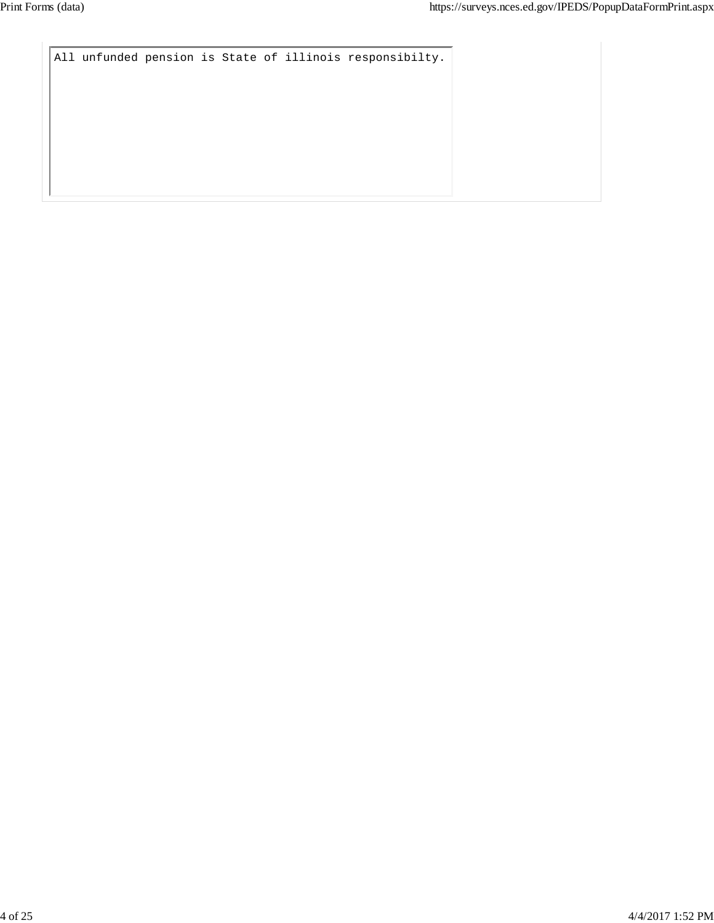```
All unfunded pension is State of illinois responsibilty.
```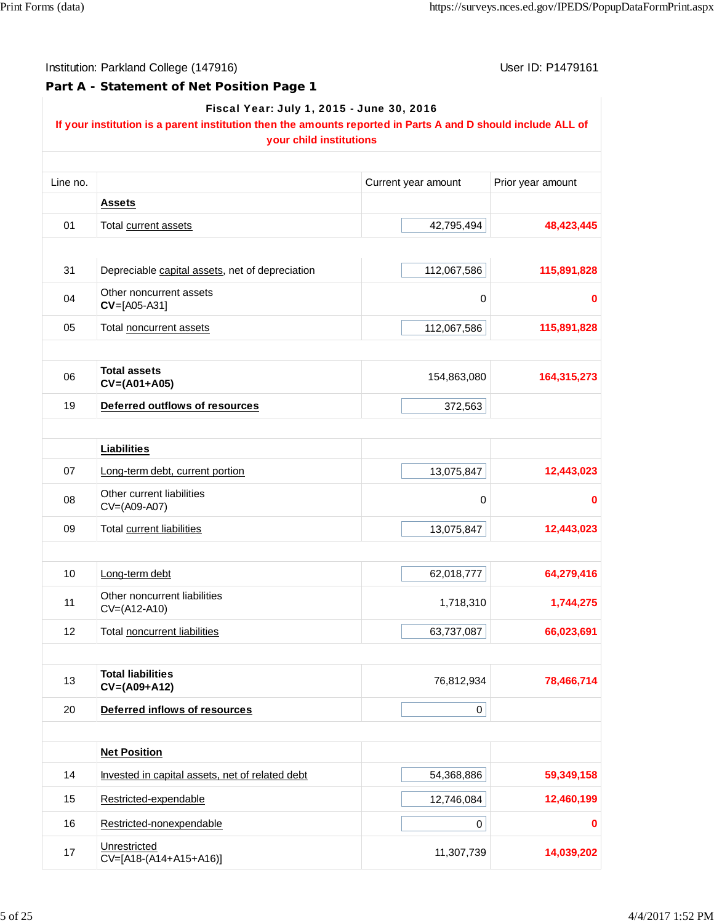Institution: Parkland College (147916) **Institution: Parkland College (147916**)

**Part A - Statement of Net Position Page 1**

| Fiscal Year: July 1, 2015 - June 30, 2016 |  |  |
|-------------------------------------------|--|--|

#### **If your institution is a parent institution then the amounts reported in Parts A and D should include ALL of your child institutions**

| Line no. |                                                 | Current year amount | Prior year amount |
|----------|-------------------------------------------------|---------------------|-------------------|
|          | <b>Assets</b>                                   |                     |                   |
| 01       | Total current assets                            | 42,795,494          | 48,423,445        |
|          |                                                 |                     |                   |
| 31       | Depreciable capital assets, net of depreciation | 112,067,586         | 115,891,828       |
| 04       | Other noncurrent assets<br>$CV=[A05-A31]$       | 0                   | 0                 |
| 05       | Total noncurrent assets                         | 112,067,586         | 115,891,828       |
|          |                                                 |                     |                   |
| 06       | <b>Total assets</b><br>$CV=(A01+A05)$           | 154,863,080         | 164,315,273       |
| 19       | <b>Deferred outflows of resources</b>           | 372,563             |                   |
|          |                                                 |                     |                   |
|          | <b>Liabilities</b>                              |                     |                   |
| 07       | Long-term debt, current portion                 | 13,075,847          | 12,443,023        |
| 08       | Other current liabilities<br>CV=(A09-A07)       | $\mathbf 0$         | 0                 |
| 09       | Total current liabilities                       | 13,075,847          | 12,443,023        |
|          |                                                 |                     |                   |
| 10       | Long-term debt                                  | 62,018,777          | 64,279,416        |
| 11       | Other noncurrent liabilities<br>CV=(A12-A10)    | 1,718,310           | 1,744,275         |
| 12       | Total noncurrent liabilities                    | 63,737,087          | 66,023,691        |
|          |                                                 |                     |                   |
| 13       | <b>Total liabilities</b><br>$CV=(A09+A12)$      | 76,812,934          | 78,466,714        |
| 20       | Deferred inflows of resources                   | $\mathbf 0$         |                   |
|          |                                                 |                     |                   |
|          | <b>Net Position</b>                             |                     |                   |
| 14       | Invested in capital assets, net of related debt | 54,368,886          | 59,349,158        |
| 15       | Restricted-expendable                           | 12,746,084          | 12,460,199        |
| 16       | Restricted-nonexpendable                        | 0                   | 0                 |
| 17       | Unrestricted<br>CV=[A18-(A14+A15+A16)]          | 11,307,739          | 14,039,202        |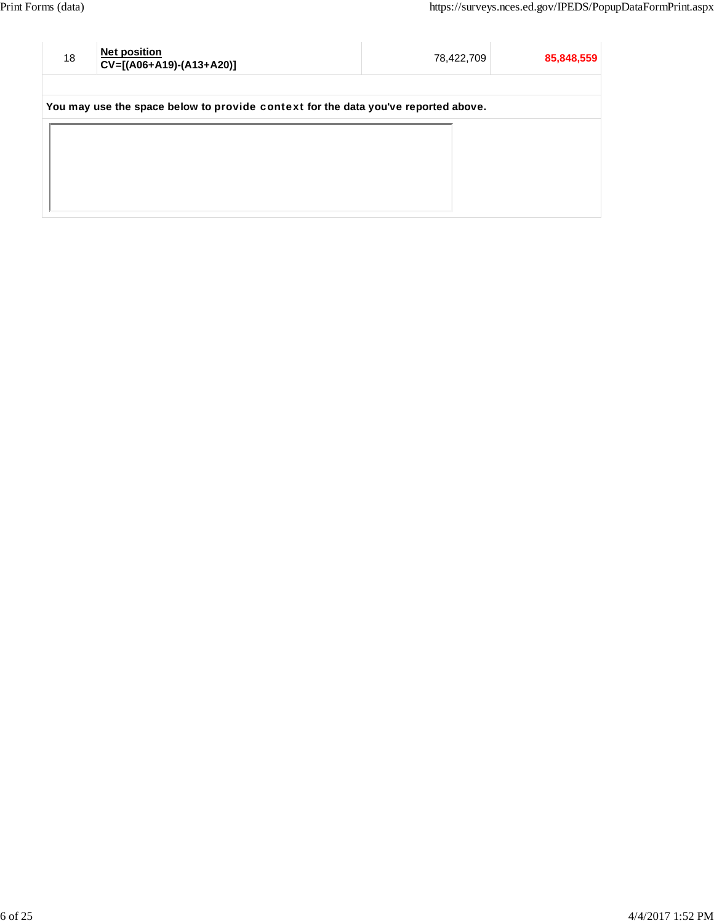| 18 | <b>Net position</b><br>CV=[(A06+A19)-(A13+A20)]                                    | 78,422,709 | 85,848,559 |
|----|------------------------------------------------------------------------------------|------------|------------|
|    | You may use the space below to provide context for the data you've reported above. |            |            |
|    |                                                                                    |            |            |
|    |                                                                                    |            |            |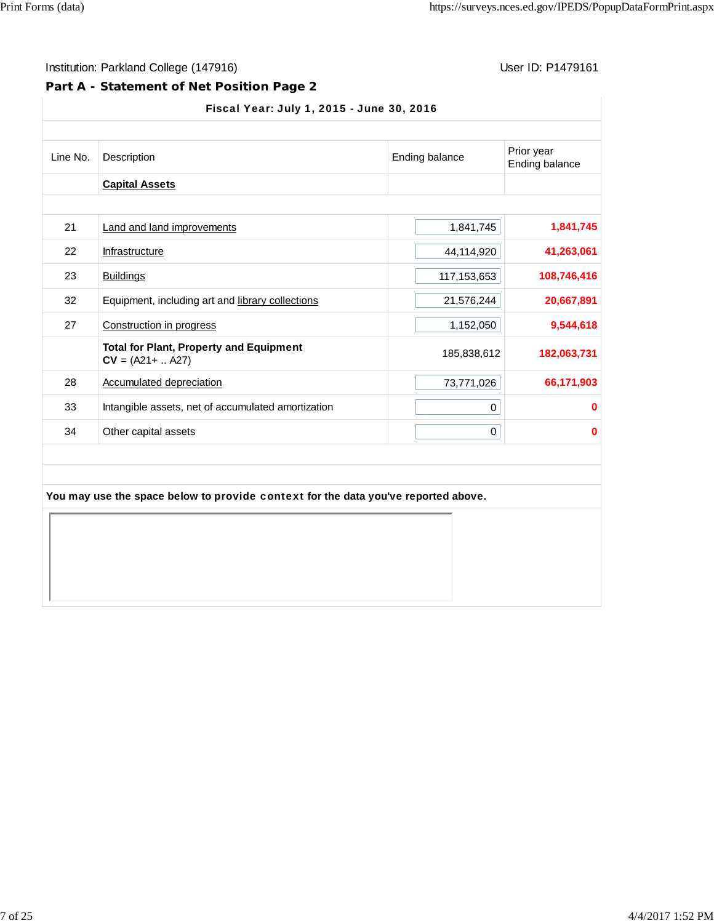### **Part A - Statement of Net Position Page 2**

#### Fiscal Year: July 1, 2015 - June 30, 2016

| Line No. | Description                                                                        | Ending balance | Prior year<br>Ending balance |  |
|----------|------------------------------------------------------------------------------------|----------------|------------------------------|--|
|          | <b>Capital Assets</b>                                                              |                |                              |  |
| 21       | <b>Land and land improvements</b>                                                  | 1,841,745      | 1,841,745                    |  |
| 22       | Infrastructure                                                                     | 44,114,920     | 41,263,061                   |  |
| 23       | <b>Buildings</b>                                                                   | 117, 153, 653  | 108,746,416                  |  |
| 32       | Equipment, including art and library collections                                   | 21,576,244     | 20,667,891                   |  |
| 27       | Construction in progress                                                           | 1,152,050      | 9,544,618                    |  |
|          | <b>Total for Plant, Property and Equipment</b><br>$CV = (A21 +  A27)$              | 185,838,612    | 182,063,731                  |  |
| 28       | Accumulated depreciation                                                           | 73,771,026     | 66,171,903                   |  |
| 33       | Intangible assets, net of accumulated amortization                                 | 0              | $\bf{0}$                     |  |
| 34       | Other capital assets                                                               | 0              | $\bf{0}$                     |  |
|          | You may use the space below to provide context for the data you've reported above. |                |                              |  |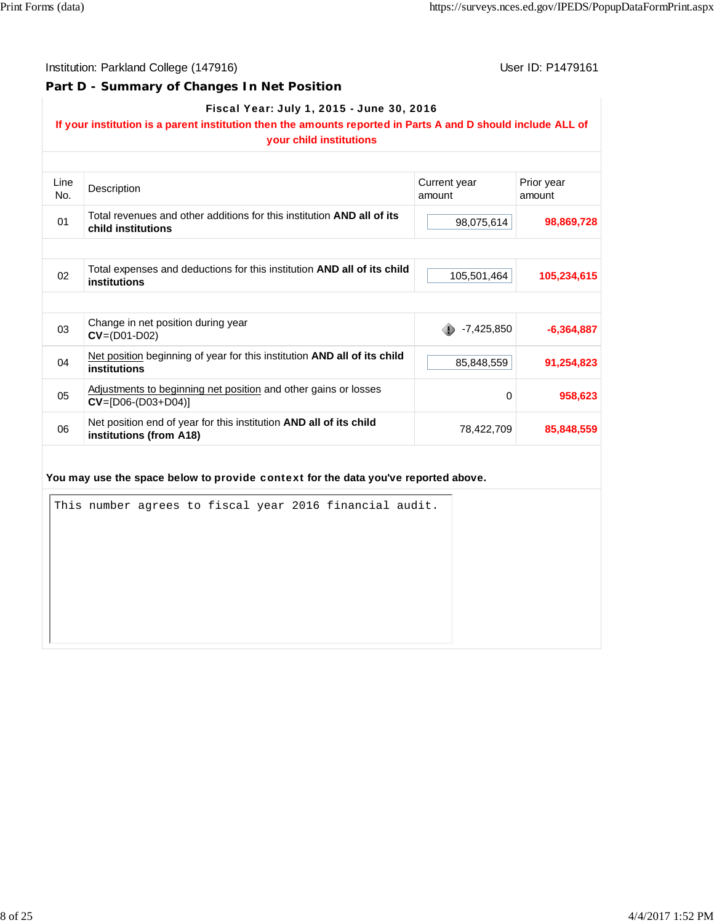#### **Part D - Summary of Changes In Net Position**

#### Fiscal Year: July 1, 2015 - June 30, 2016

# **If your institution is a parent institution then the amounts reported in Parts A and D should include ALL of**

|             | your child institutions                                                                             |                        |                      |
|-------------|-----------------------------------------------------------------------------------------------------|------------------------|----------------------|
| Line<br>No. | Description                                                                                         | Current year<br>amount | Prior year<br>amount |
| 01          | Total revenues and other additions for this institution <b>AND all of its</b><br>child institutions | 98,075,614             | 98,869,728           |
|             |                                                                                                     |                        |                      |
| 02          | Total expenses and deductions for this institution AND all of its child<br>institutions             | 105,501,464            | 105,234,615          |
|             |                                                                                                     |                        |                      |
| 03          | Change in net position during year<br>$CV = (D01-D02)$                                              | $-7,425,850$           | $-6,364,887$         |
| 04          | Net position beginning of year for this institution AND all of its child<br>institutions            | 85,848,559             | 91,254,823           |
| 05          | Adjustments to beginning net position and other gains or losses<br>$CV=[D06-(D03+D04)]$             | 0                      | 958,623              |
| 06          | Net position end of year for this institution AND all of its child<br>institutions (from A18)       | 78,422,709             | 85,848,559           |
|             |                                                                                                     |                        |                      |
|             | You may use the space below to provide context for the data you've reported above.                  |                        |                      |
|             | This number agrees to fiscal year 2016 financial audit.                                             |                        |                      |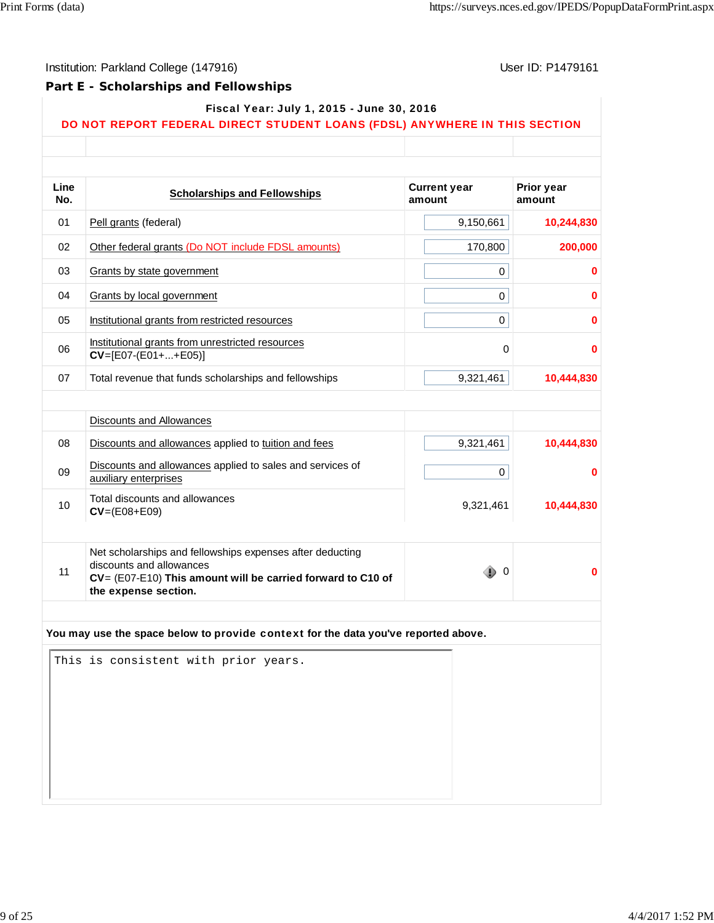Г

T

## Institution: Parkland College (147916) Contract College (147916)

#### **Part E - Scholarships and Fellowships**

|  | Fiscal Year: July 1, 2015 - June 30, 2016 |
|--|-------------------------------------------|
|--|-------------------------------------------|

#### DO NOT REPORT FEDERAL DIRECT STUDENT LOANS (FDSL) ANYWHERE IN THIS SECTION

| Line<br>No. | <b>Scholarships and Fellowships</b>                                                                                                                                          | <b>Current year</b><br>amount | Prior year<br>amount |
|-------------|------------------------------------------------------------------------------------------------------------------------------------------------------------------------------|-------------------------------|----------------------|
| 01          | Pell grants (federal)                                                                                                                                                        | 9,150,661                     | 10,244,830           |
| 02          | Other federal grants (Do NOT include FDSL amounts)                                                                                                                           | 170,800                       | 200,000              |
| 03          | Grants by state government                                                                                                                                                   | 0                             | 0                    |
| 04          | <b>Grants by local government</b>                                                                                                                                            | 0                             | 0                    |
| 05          | Institutional grants from restricted resources                                                                                                                               | 0                             | 0                    |
| 06          | Institutional grants from unrestricted resources<br>$CV=[E07-(E01++E05)]$                                                                                                    | 0                             | 0                    |
| 07          | Total revenue that funds scholarships and fellowships                                                                                                                        | 9,321,461                     | 10,444,830           |
|             |                                                                                                                                                                              |                               |                      |
|             | <b>Discounts and Allowances</b>                                                                                                                                              |                               |                      |
| 08          | Discounts and allowances applied to tuition and fees                                                                                                                         | 9,321,461                     | 10,444,830           |
| 09          | Discounts and allowances applied to sales and services of<br>auxiliary enterprises                                                                                           | 0                             | 0                    |
| 10          | Total discounts and allowances<br>$CV=(E08+E09)$                                                                                                                             | 9,321,461                     | 10,444,830           |
| 11          | Net scholarships and fellowships expenses after deducting<br>discounts and allowances<br>CV= (E07-E10) This amount will be carried forward to C10 of<br>the expense section. | $\mathbb{D}^0$                | 0                    |
|             | You may use the space below to provide context for the data you've reported above.                                                                                           |                               |                      |
|             | This is consistent with prior years.                                                                                                                                         |                               |                      |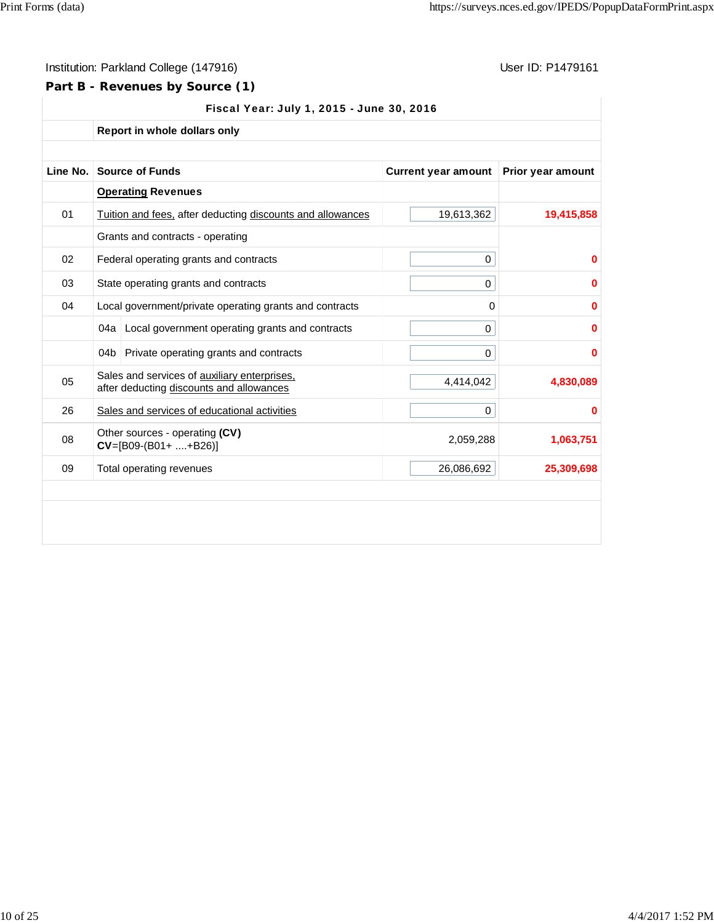## **Part B - Revenues by Source (1)**

|          | Report in whole dollars only                                                             |                            |                          |
|----------|------------------------------------------------------------------------------------------|----------------------------|--------------------------|
| Line No. | <b>Source of Funds</b>                                                                   | <b>Current year amount</b> | <b>Prior year amount</b> |
|          | <b>Operating Revenues</b>                                                                |                            |                          |
| 01       | Tuition and fees, after deducting discounts and allowances                               | 19,613,362                 | 19,415,858               |
|          | Grants and contracts - operating                                                         |                            |                          |
| 02       | Federal operating grants and contracts                                                   | 0                          | 0                        |
| 03       | State operating grants and contracts                                                     | 0                          | 0                        |
| 04       | Local government/private operating grants and contracts                                  | 0                          | 0                        |
|          | Local government operating grants and contracts<br>04a                                   | 0                          | 0                        |
|          | 04 <sub>b</sub><br>Private operating grants and contracts                                | 0                          | 0                        |
| 05       | Sales and services of auxiliary enterprises,<br>after deducting discounts and allowances | 4,414,042                  | 4,830,089                |
| 26       | Sales and services of educational activities                                             | 0                          | 0                        |
| 08       | Other sources - operating (CV)<br>$CV=[B09-(B01++B26)]$                                  | 2,059,288                  | 1,063,751                |
| 09       | Total operating revenues                                                                 | 26,086,692                 | 25,309,698               |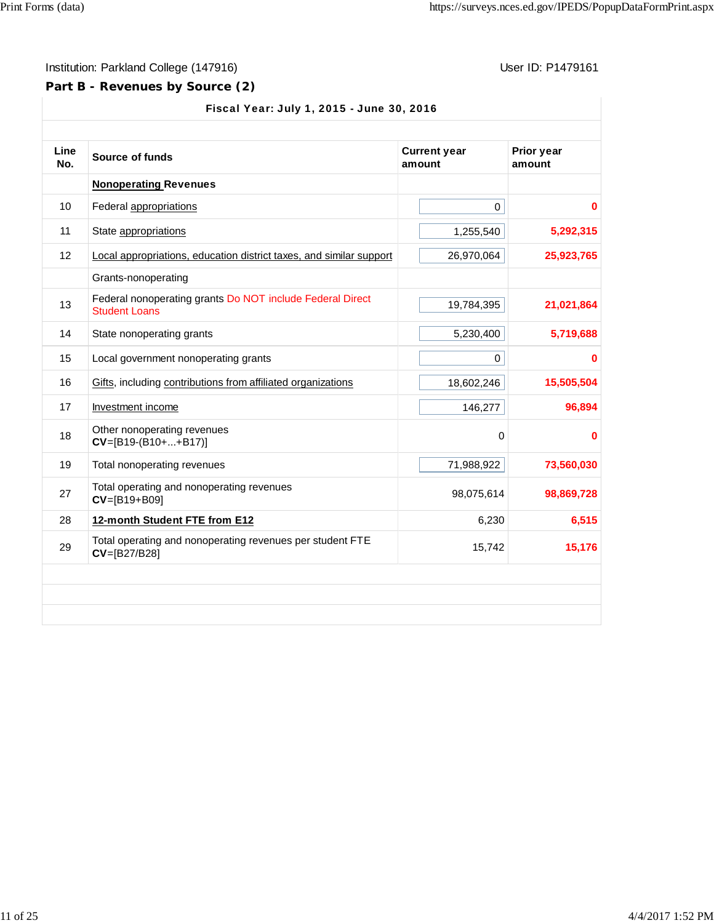## **Part B - Revenues by Source (2)**

| Line<br>No. | Source of funds                                                                   | <b>Current year</b><br>amount | Prior year<br>amount |
|-------------|-----------------------------------------------------------------------------------|-------------------------------|----------------------|
|             | <b>Nonoperating Revenues</b>                                                      |                               |                      |
| 10          | Federal appropriations                                                            | 0                             | 0                    |
| 11          | State appropriations                                                              | 1,255,540                     | 5,292,315            |
| 12          | Local appropriations, education district taxes, and similar support               | 26,970,064                    | 25,923,765           |
|             | Grants-nonoperating                                                               |                               |                      |
| 13          | Federal nonoperating grants Do NOT include Federal Direct<br><b>Student Loans</b> | 19,784,395                    | 21,021,864           |
| 14          | State nonoperating grants                                                         | 5,230,400                     | 5,719,688            |
| 15          | Local government nonoperating grants                                              | 0                             | 0                    |
| 16          | Gifts, including contributions from affiliated organizations                      | 18,602,246                    | 15,505,504           |
| 17          | Investment income                                                                 | 146,277                       | 96,894               |
| 18          | Other nonoperating revenues<br>$CV=[B19-(B10++B17)]$                              | 0                             | 0                    |
| 19          | Total nonoperating revenues                                                       | 71,988,922                    | 73,560,030           |
| 27          | Total operating and nonoperating revenues<br>$CV=[B19+B09]$                       | 98,075,614                    | 98,869,728           |
| 28          | 12-month Student FTE from E12                                                     | 6,230                         | 6,515                |
| 29          | Total operating and nonoperating revenues per student FTE<br>CV=[B27/B28]         | 15,742                        | 15,176               |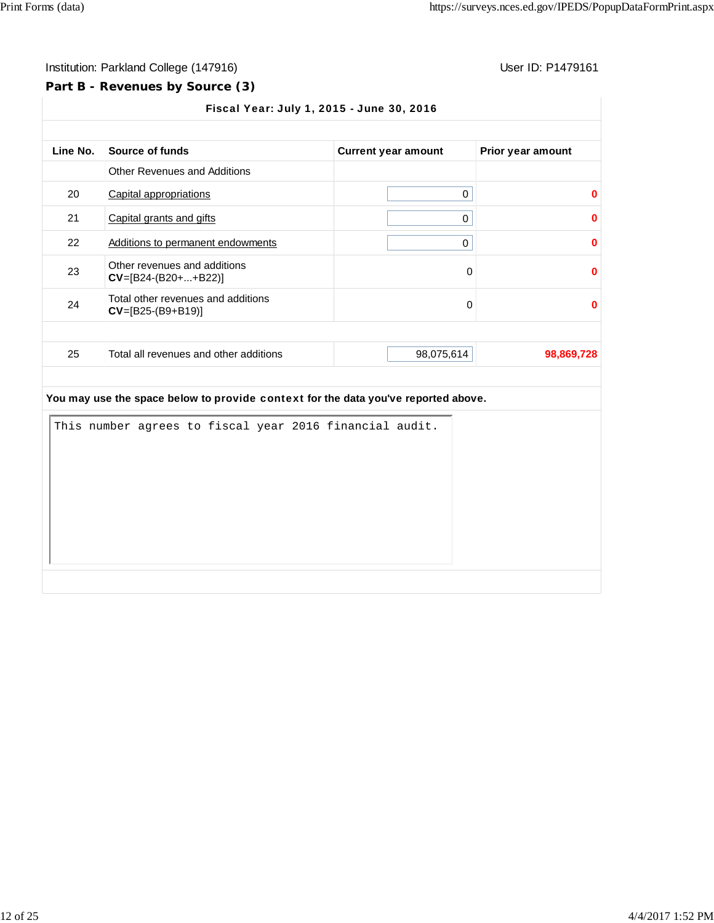#### **Part B - Revenues by Source (3)**

Fiscal Year: July 1, 2015 - June 30, 2016 Line No. Source of funds **Current year amount** Prior year amount Other Revenues and Additions 20 Capital appropriations 0 **0** 21 Capital grants and gifts 0 **0** 22 Additions to permanent endowments 0 **0** 23 Other revenues and additions **CV**=[B24-(B20+...+B22)] **0**<br>**CV**=[B24-(B20+...+B22)] 24 Total other revenues and additions **CV**=[B25-(B9+B19)] **0 0** 25 Total all revenues and other additions 98,075,614 **98,869,728 You may use the space below to** provide context **for the data you've reported above.** This number agrees to fiscal year 2016 financial audit.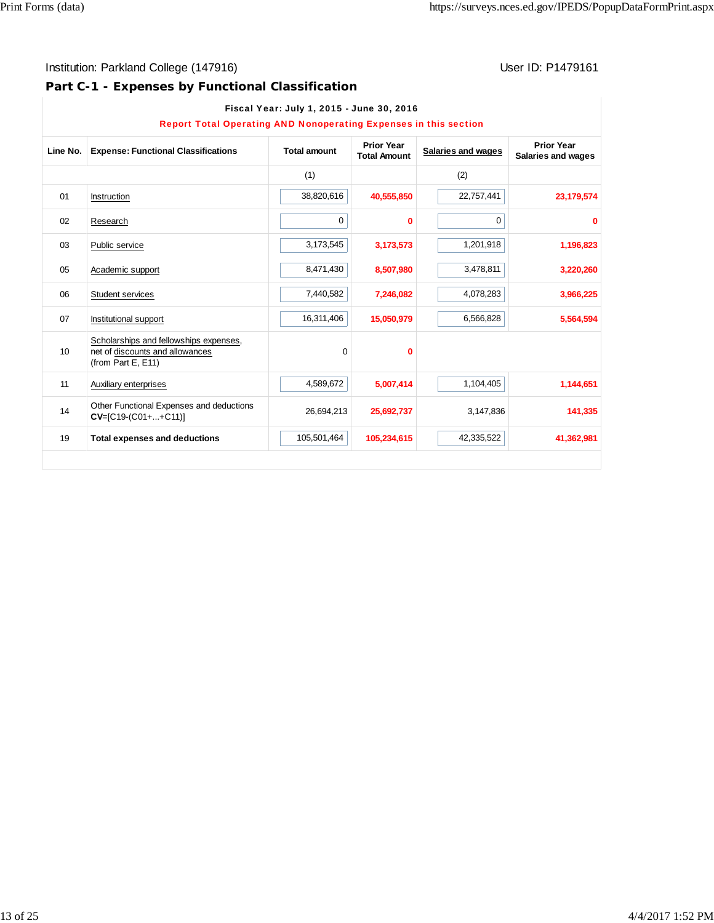# **Part C-1 - Expenses by Functional Classification**

| <b>Report Total Operating AND Nonoperating Expenses in this section</b> |                                                                                                 |                     |                                          |                    |                                         |
|-------------------------------------------------------------------------|-------------------------------------------------------------------------------------------------|---------------------|------------------------------------------|--------------------|-----------------------------------------|
| Line No.                                                                | <b>Expense: Functional Classifications</b>                                                      | <b>Total amount</b> | <b>Prior Year</b><br><b>Total Amount</b> | Salaries and wages | <b>Prior Year</b><br>Salaries and wages |
|                                                                         |                                                                                                 | (1)                 |                                          | (2)                |                                         |
| 01                                                                      | Instruction                                                                                     | 38,820,616          | 40,555,850                               | 22,757,441         | 23,179,574                              |
| 02                                                                      | Research                                                                                        | 0                   | $\bf{0}$                                 | 0                  | $\bf{0}$                                |
| 03                                                                      | Public service                                                                                  | 3,173,545           | 3,173,573                                | 1,201,918          | 1,196,823                               |
| 05                                                                      | Academic support                                                                                | 8,471,430           | 8,507,980                                | 3,478,811          | 3,220,260                               |
| 06                                                                      | Student services                                                                                | 7,440,582           | 7,246,082                                | 4,078,283          | 3,966,225                               |
| 07                                                                      | Institutional support                                                                           | 16,311,406          | 15,050,979                               | 6,566,828          | 5,564,594                               |
| 10                                                                      | Scholarships and fellowships expenses,<br>net of discounts and allowances<br>(from Part E, E11) | $\mathbf 0$         | 0                                        |                    |                                         |
| 11                                                                      | Auxiliary enterprises                                                                           | 4,589,672           | 5,007,414                                | 1,104,405          | 1,144,651                               |
| 14                                                                      | Other Functional Expenses and deductions<br>$CV=[C19-(C01++C11)]$                               | 26,694,213          | 25,692,737                               | 3,147,836          | 141,335                                 |
| 19                                                                      | <b>Total expenses and deductions</b>                                                            | 105,501,464         | 105,234,615                              | 42,335,522         | 41,362,981                              |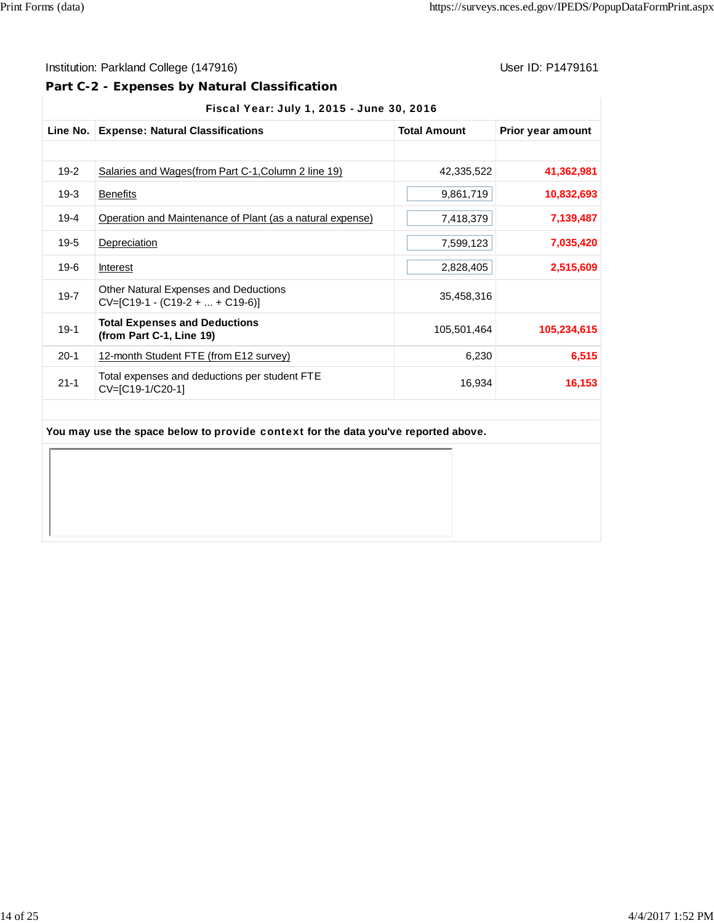## Institution: Parkland College (147916) **User ID: P1479161** User ID: P1479161

## **Part C-2 - Expenses by Natural Classification**

|          | Line No.   Expense: Natural Classifications                                | <b>Total Amount</b> | Prior year amount |
|----------|----------------------------------------------------------------------------|---------------------|-------------------|
|          |                                                                            |                     |                   |
| $19-2$   | Salaries and Wages (from Part C-1, Column 2 line 19)                       | 42,335,522          | 41,362,981        |
| $19-3$   | <b>Benefits</b>                                                            | 9,861,719           | 10,832,693        |
| $19 - 4$ | Operation and Maintenance of Plant (as a natural expense)                  | 7,418,379           | 7,139,487         |
| $19-5$   | Depreciation                                                               | 7,599,123           | 7,035,420         |
| 19-6     | <b>Interest</b>                                                            | 2,828,405           | 2,515,609         |
| $19 - 7$ | Other Natural Expenses and Deductions<br>$CV=[C19-1 - (C19-2 +  + C19-6)]$ | 35,458,316          |                   |
| $19-1$   | <b>Total Expenses and Deductions</b><br>(from Part C-1, Line 19)           | 105,501,464         | 105,234,615       |
| $20-1$   | 12-month Student FTE (from E12 survey)                                     | 6,230               | 6,515             |
| $21 - 1$ | Total expenses and deductions per student FTE<br>CV=[C19-1/C20-1]          | 16,934              | 16,153            |

#### **You may use the space below to** provide context **for the data you've reported above.**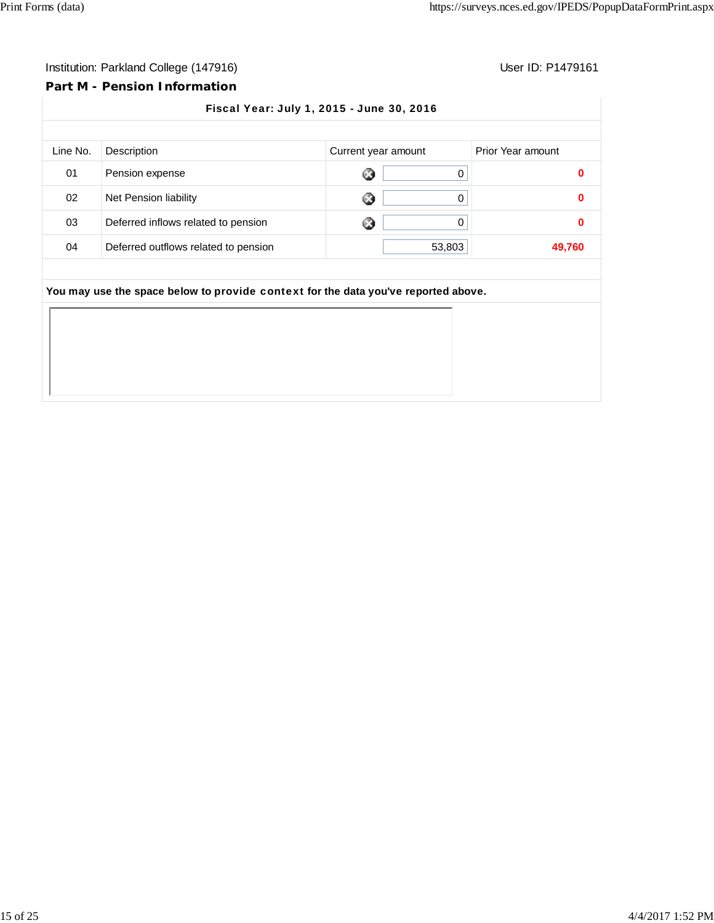#### **Part M - Pension Information**

Fiscal Year: July 1, 2015 - June 30, 2016 Line No. Description **Current year amount** Prior Year amount 01 Pension expense 0 **0** 02 Net Pension liability 0 **0** 03 Deferred inflows related to pension 0 **0** 04 Deferred outflows related to pension **63,803** 53,803 **You may use the space below to** provide context **for the data you've reported above.**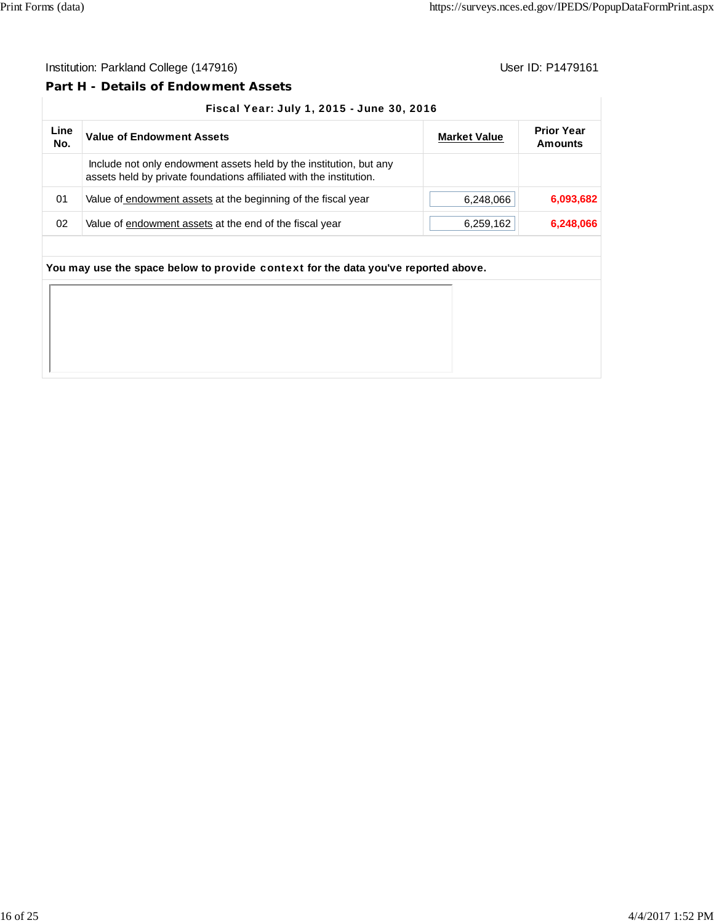#### **Part H - Details of Endowment Assets**

#### Fiscal Year: July 1, 2015 - June 30, 2016

| Line<br>No. | <b>Value of Endowment Assets</b>                                                                                                          | <b>Market Value</b> | <b>Prior Year</b><br>Amounts |
|-------------|-------------------------------------------------------------------------------------------------------------------------------------------|---------------------|------------------------------|
|             | Include not only endowment assets held by the institution, but any<br>assets held by private foundations affiliated with the institution. |                     |                              |
| 01          | Value of endowment assets at the beginning of the fiscal year                                                                             | 6,248,066           | 6,093,682                    |
| 02          | Value of endowment assets at the end of the fiscal year                                                                                   | 6,259,162           | 6,248,066                    |

|  |  | the companies of the companies of the companies of the companies of the companies of the companies of the companies |
|--|--|---------------------------------------------------------------------------------------------------------------------|
|--|--|---------------------------------------------------------------------------------------------------------------------|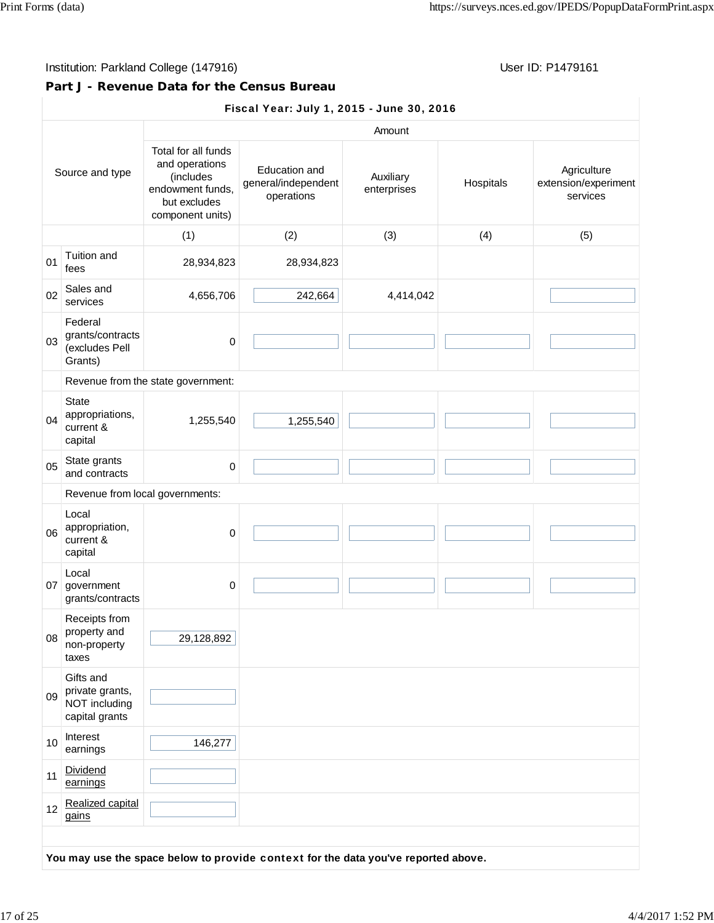## Institution: Parkland College (147916) **Institution: Parkland College (147916)** Constantino College (147916)

### **Part J - Revenue Data for the Census Bureau**

## Fiscal Year: July 1, 2015 - June 30, 2016

|                 |                                                                 |                                                                                                            |                                                    | Amount                   |           |                                                 |
|-----------------|-----------------------------------------------------------------|------------------------------------------------------------------------------------------------------------|----------------------------------------------------|--------------------------|-----------|-------------------------------------------------|
| Source and type |                                                                 | Total for all funds<br>and operations<br>(includes<br>endowment funds,<br>but excludes<br>component units) | Education and<br>general/independent<br>operations | Auxiliary<br>enterprises | Hospitals | Agriculture<br>extension/experiment<br>services |
|                 |                                                                 | (1)                                                                                                        | (2)                                                | (3)                      | (4)       | (5)                                             |
| 01              | Tuition and<br>fees                                             | 28,934,823                                                                                                 | 28,934,823                                         |                          |           |                                                 |
| 02              | Sales and<br>services                                           | 4,656,706                                                                                                  | 242,664                                            | 4,414,042                |           |                                                 |
| 03              | Federal<br>grants/contracts<br>(excludes Pell<br>Grants)        | $\mathbf 0$                                                                                                |                                                    |                          |           |                                                 |
|                 |                                                                 | Revenue from the state government:                                                                         |                                                    |                          |           |                                                 |
| 04              | <b>State</b><br>appropriations,<br>current &<br>capital         | 1,255,540                                                                                                  | 1,255,540                                          |                          |           |                                                 |
| 05              | State grants<br>and contracts                                   | 0                                                                                                          |                                                    |                          |           |                                                 |
|                 | Revenue from local governments:                                 |                                                                                                            |                                                    |                          |           |                                                 |
| 06              | Local<br>appropriation,<br>current &<br>capital                 | $\mathbf 0$                                                                                                |                                                    |                          |           |                                                 |
|                 | Local<br>07 government<br>grants/contracts                      | 0                                                                                                          |                                                    |                          |           |                                                 |
| 08              | Receipts from<br>property and<br>non-property<br>taxes          | 29,128,892                                                                                                 |                                                    |                          |           |                                                 |
| 09              | Gifts and<br>private grants,<br>NOT including<br>capital grants |                                                                                                            |                                                    |                          |           |                                                 |
| 10              | Interest<br>earnings                                            | 146,277                                                                                                    |                                                    |                          |           |                                                 |
| 11              | Dividend<br>earnings                                            |                                                                                                            |                                                    |                          |           |                                                 |
| 12              | Realized capital<br>gains                                       |                                                                                                            |                                                    |                          |           |                                                 |

**You may use the space below to** provide context **for the data you've reported above.**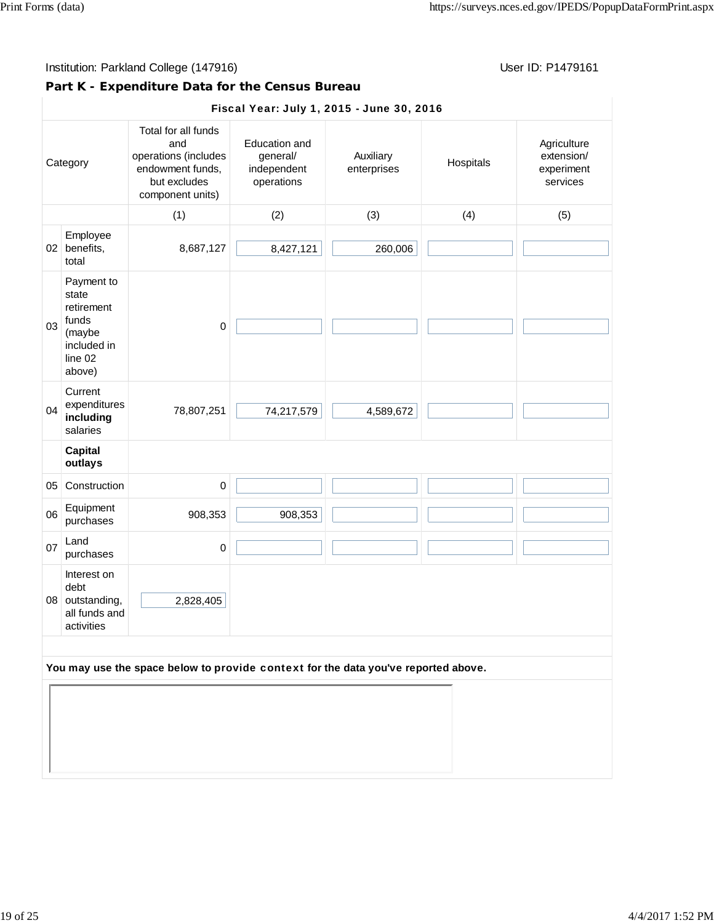## **Part K - Expenditure Data for the Census Bureau**

|    | Fiscal Year: July 1, 2015 - June 30, 2016                                                |                                                                                                            |                                                        |                          |           |                                                     |  |  |
|----|------------------------------------------------------------------------------------------|------------------------------------------------------------------------------------------------------------|--------------------------------------------------------|--------------------------|-----------|-----------------------------------------------------|--|--|
|    | Category                                                                                 | Total for all funds<br>and<br>operations (includes<br>endowment funds,<br>but excludes<br>component units) | Education and<br>general/<br>independent<br>operations | Auxiliary<br>enterprises | Hospitals | Agriculture<br>extension/<br>experiment<br>services |  |  |
|    |                                                                                          | (1)                                                                                                        | (2)                                                    | (3)                      | (4)       | (5)                                                 |  |  |
|    | Employee<br>02 benefits,<br>total                                                        | 8,687,127                                                                                                  | 8,427,121                                              | 260,006                  |           |                                                     |  |  |
| 03 | Payment to<br>state<br>retirement<br>funds<br>(maybe<br>included in<br>line 02<br>above) | $\mathbf 0$                                                                                                |                                                        |                          |           |                                                     |  |  |
| 04 | Current<br>expenditures<br>including<br>salaries                                         | 78,807,251                                                                                                 | 74,217,579                                             | 4,589,672                |           |                                                     |  |  |
|    | <b>Capital</b><br>outlays                                                                |                                                                                                            |                                                        |                          |           |                                                     |  |  |
| 05 | Construction                                                                             | $\mathbf 0$                                                                                                |                                                        |                          |           |                                                     |  |  |
| 06 | Equipment<br>purchases                                                                   | 908,353                                                                                                    | 908,353                                                |                          |           |                                                     |  |  |
| 07 | Land<br>purchases                                                                        | $\pmb{0}$                                                                                                  |                                                        |                          |           |                                                     |  |  |
|    | Interest on<br>debt<br>08 outstanding,<br>all funds and<br>activities                    | 2,828,405                                                                                                  |                                                        |                          |           |                                                     |  |  |
|    | You may use the space below to provide context for the data you've reported above.       |                                                                                                            |                                                        |                          |           |                                                     |  |  |
|    |                                                                                          |                                                                                                            |                                                        |                          |           |                                                     |  |  |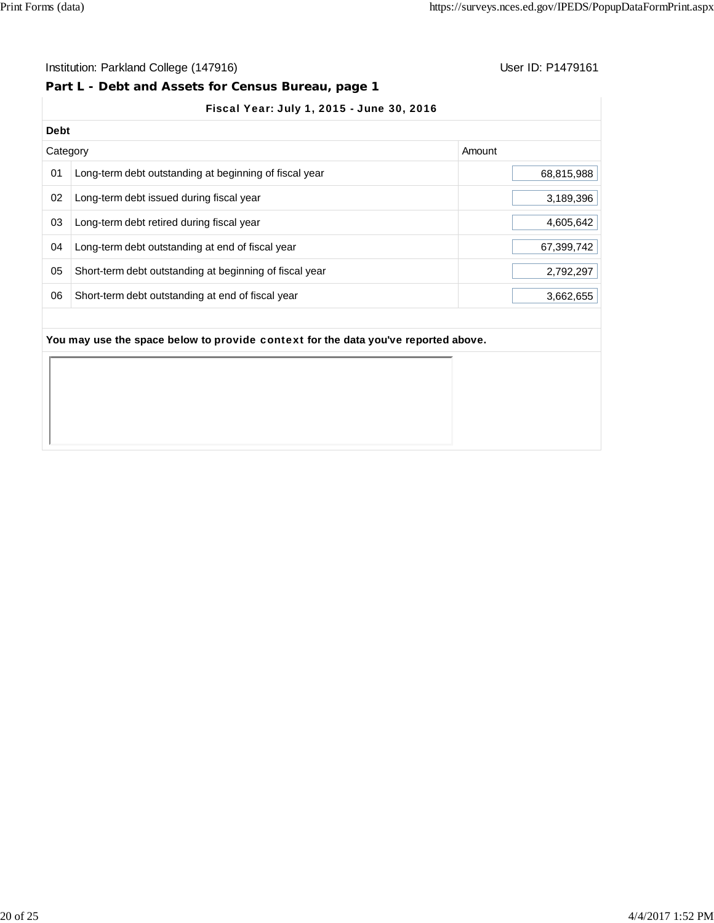#### Institution: Parkland College (147916) **Institution: Parkland College (147916**)

#### **Part L - Debt and Assets for Census Bureau, page 1**

## Fiscal Year: July 1, 2015 - June 30, 2016

| <b>Debt</b> |                                                         |            |
|-------------|---------------------------------------------------------|------------|
| Category    |                                                         | Amount     |
| 01          | Long-term debt outstanding at beginning of fiscal year  | 68,815,988 |
| 02          | Long-term debt issued during fiscal year                | 3,189,396  |
| 03          | Long-term debt retired during fiscal year               | 4,605,642  |
| 04          | Long-term debt outstanding at end of fiscal year        | 67,399,742 |
| 05          | Short-term debt outstanding at beginning of fiscal year | 2,792,297  |
| 06          | Short-term debt outstanding at end of fiscal year       | 3,662,655  |
|             |                                                         |            |

#### **You may use the space below to** provide context **for the data you've reported above.**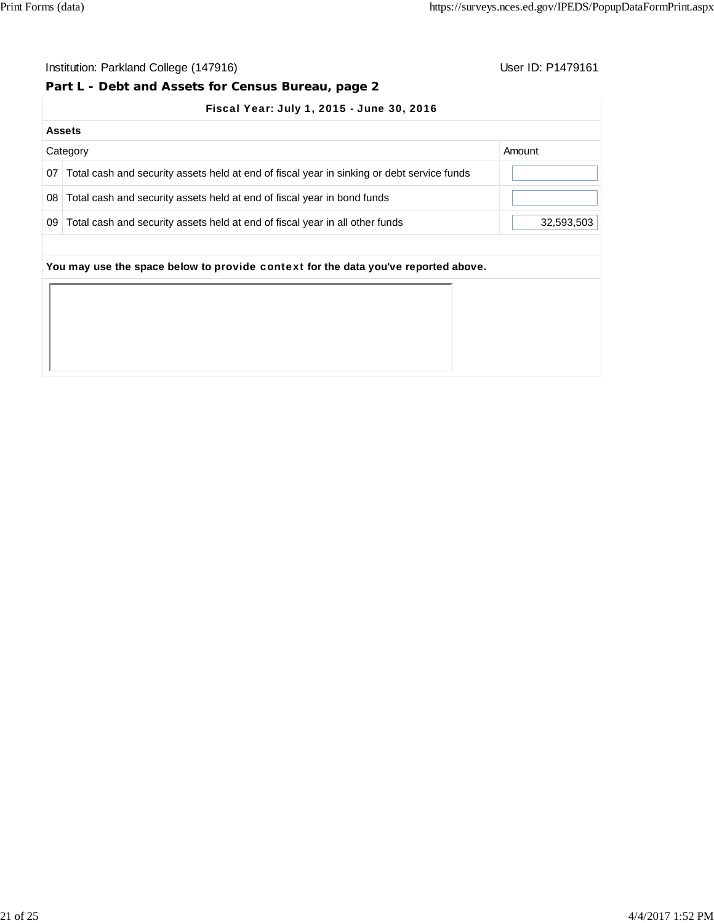## **Part L - Debt and Assets for Census Bureau, page 2**

|  |  | Fiscal Year: July 1, 2015 - June 30, 2016 |  |
|--|--|-------------------------------------------|--|
|  |  |                                           |  |

|    | <b>Assets</b>                                                                              |            |
|----|--------------------------------------------------------------------------------------------|------------|
|    | Category                                                                                   | Amount     |
| 07 | Total cash and security assets held at end of fiscal year in sinking or debt service funds |            |
| 08 | Total cash and security assets held at end of fiscal year in bond funds                    |            |
| 09 | Total cash and security assets held at end of fiscal year in all other funds               | 32,593,503 |
|    | You may use the space below to provide context for the data you've reported above.         |            |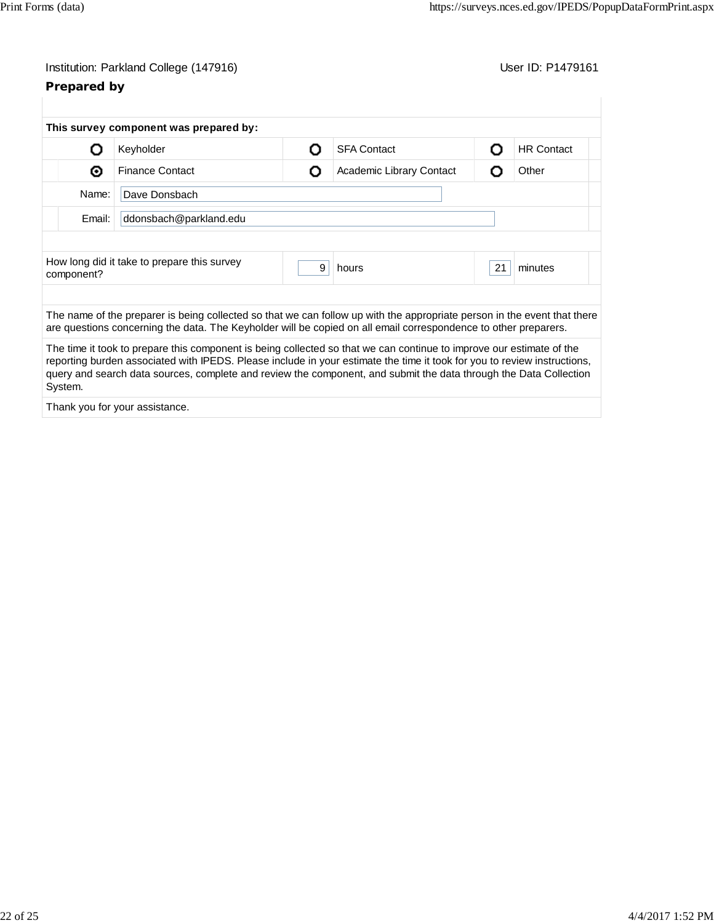| Institution: Parkland College (147916) |
|----------------------------------------|
|----------------------------------------|

# **Prepared by**

User ID: P1479161

|            | This survey component was prepared by:                                                                                                                                                                                                                                                                                                                                |   |                          |    |                   |
|------------|-----------------------------------------------------------------------------------------------------------------------------------------------------------------------------------------------------------------------------------------------------------------------------------------------------------------------------------------------------------------------|---|--------------------------|----|-------------------|
| 0          | Keyholder                                                                                                                                                                                                                                                                                                                                                             | Ω | <b>SFA Contact</b>       | О  | <b>HR Contact</b> |
| ◉          | <b>Finance Contact</b>                                                                                                                                                                                                                                                                                                                                                | О | Academic Library Contact | O  | Other             |
| Name:      | Dave Donsbach                                                                                                                                                                                                                                                                                                                                                         |   |                          |    |                   |
| Email:     | ddonsbach@parkland.edu                                                                                                                                                                                                                                                                                                                                                |   |                          |    |                   |
|            | How long did it take to prepare this survey                                                                                                                                                                                                                                                                                                                           | 9 | hours                    | 21 | minutes           |
| component? |                                                                                                                                                                                                                                                                                                                                                                       |   |                          |    |                   |
|            | The name of the preparer is being collected so that we can follow up with the appropriate person in the event that there<br>are questions concerning the data. The Keyholder will be copied on all email correspondence to other preparers.                                                                                                                           |   |                          |    |                   |
| System.    | The time it took to prepare this component is being collected so that we can continue to improve our estimate of the<br>reporting burden associated with IPEDS. Please include in your estimate the time it took for you to review instructions,<br>query and search data sources, complete and review the component, and submit the data through the Data Collection |   |                          |    |                   |
|            | Thank you for your assistance.                                                                                                                                                                                                                                                                                                                                        |   |                          |    |                   |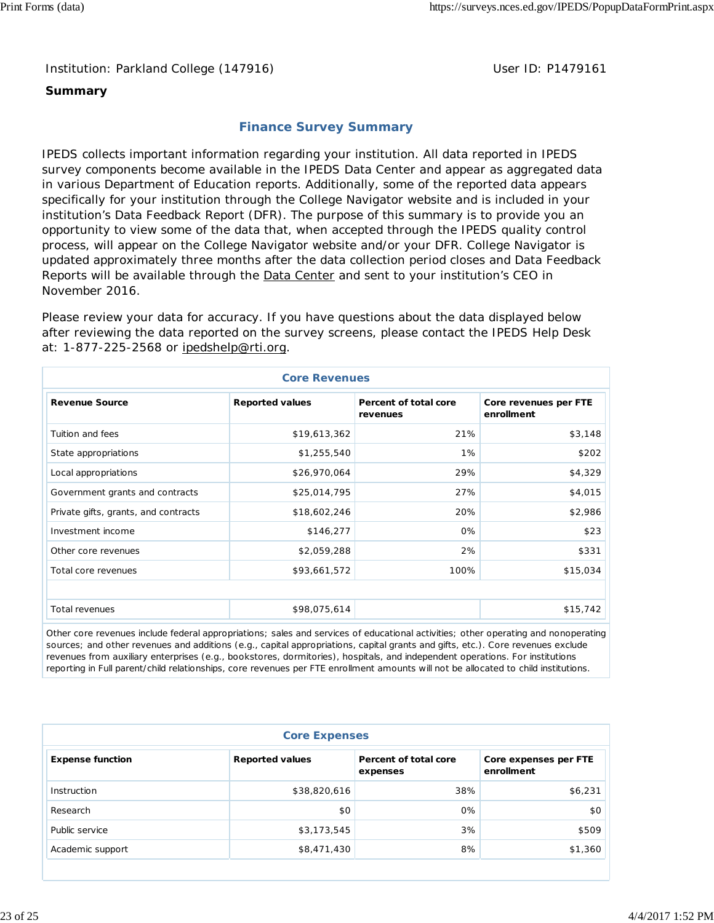Institution: Parkland College (147916) **Department College (1479161** User ID: P1479161

#### **Summary**

## **Finance Survey Summary**

IPEDS collects important information regarding your institution. All data reported in IPEDS survey components become available in the IPEDS Data Center and appear as aggregated data in various Department of Education reports. Additionally, some of the reported data appears specifically for your institution through the College Navigator website and is included in your institution's Data Feedback Report (DFR). The purpose of this summary is to provide you an opportunity to view some of the data that, when accepted through the IPEDS quality control process, will appear on the College Navigator website and/or your DFR. College Navigator is updated approximately three months after the data collection period closes and Data Feedback Reports will be available through the **Data Center and sent to your institution's CEO** in November 2016.

Please review your data for accuracy. If you have questions about the data displayed below after reviewing the data reported on the survey screens, please contact the IPEDS Help Desk at: 1-877-225-2568 or ipedshelp@rti.org.

| <b>Core Revenues</b>                 |                        |                                   |                                     |  |  |  |
|--------------------------------------|------------------------|-----------------------------------|-------------------------------------|--|--|--|
| <b>Revenue Source</b>                | <b>Reported values</b> | Percent of total core<br>revenues | Core revenues per FTE<br>enrollment |  |  |  |
| Tuition and fees                     | \$19,613,362           | 21%                               | \$3,148                             |  |  |  |
| State appropriations                 | \$1,255,540            | 1%                                | \$202                               |  |  |  |
| Local appropriations                 | \$26,970,064           | 29%                               | \$4,329                             |  |  |  |
| Government grants and contracts      | \$25,014,795           | 27%                               | \$4,015                             |  |  |  |
| Private gifts, grants, and contracts | \$18,602,246           | 20%                               | \$2,986                             |  |  |  |
| Investment income                    | \$146,277              | 0%                                | \$23                                |  |  |  |
| Other core revenues                  | \$2,059,288            | 2%                                | \$331                               |  |  |  |
| Total core revenues                  | \$93,661,572           | 100%                              | \$15,034                            |  |  |  |
|                                      |                        |                                   |                                     |  |  |  |
| Total revenues                       | \$98,075,614           |                                   | \$15,742                            |  |  |  |

Other core revenues include federal appropriations; sales and services of educational activities; other operating and nonoperating sources; and other revenues and additions (e.g., capital appropriations, capital grants and gifts, etc.). Core revenues exclude revenues from auxiliary enterprises (e.g., bookstores, dormitories), hospitals, and independent operations. For institutions reporting in Full parent/child relationships, core revenues per FTE enrollment amounts will not be allocated to child institutions.

| <b>Core Expenses</b>    |                        |                                   |                                     |  |  |  |  |
|-------------------------|------------------------|-----------------------------------|-------------------------------------|--|--|--|--|
| <b>Expense function</b> | <b>Reported values</b> | Percent of total core<br>expenses | Core expenses per FTE<br>enrollment |  |  |  |  |
| Instruction             | \$38,820,616           | 38%                               | \$6,231                             |  |  |  |  |
| Research                | \$0                    | 0%                                | \$0                                 |  |  |  |  |
| Public service          | \$3,173,545            | 3%                                | \$509                               |  |  |  |  |
| Academic support        | \$8,471,430            | 8%                                | \$1,360                             |  |  |  |  |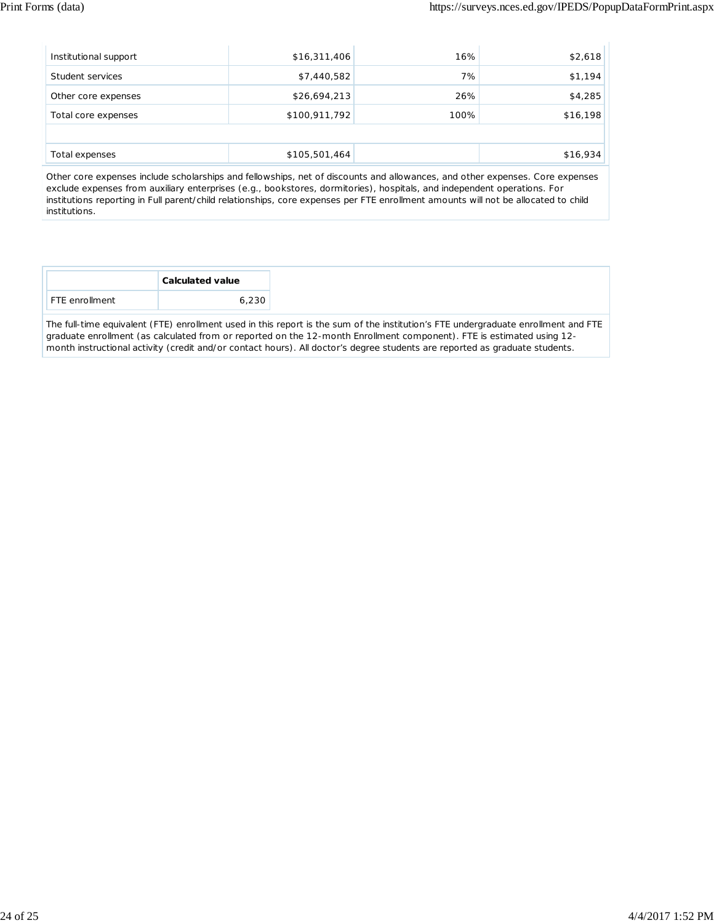| Institutional support | \$16,311,406  | 16%  | \$2,618  |
|-----------------------|---------------|------|----------|
| Student services      | \$7,440,582   | 7%   | \$1,194  |
| Other core expenses   | \$26,694,213  | 26%  | \$4,285  |
| Total core expenses   | \$100,911,792 | 100% | \$16,198 |
|                       |               |      |          |
| Total expenses        | \$105,501,464 |      | \$16,934 |

Other core expenses include scholarships and fellowships, net of discounts and allowances, and other expenses. Core expenses exclude expenses from auxiliary enterprises (e.g., bookstores, dormitories), hospitals, and independent operations. For institutions reporting in Full parent/child relationships, core expenses per FTE enrollment amounts will not be allocated to child institutions.

The full-time equivalent (FTE) enrollment used in this report is the sum of the institution's FTE undergraduate enrollment and FTE graduate enrollment (as calculated from or reported on the 12-month Enrollment component). FTE is estimated using 12 month instructional activity (credit and/or contact hours). All doctor's degree students are reported as graduate students.